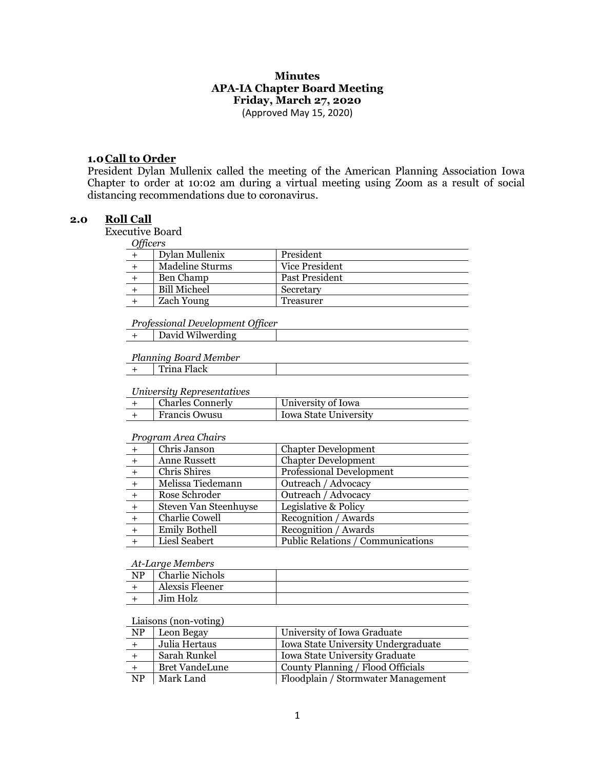# **Minutes APA-IA Chapter Board Meeting Friday, March 27, 2020**

(Approved May 15, 2020)

#### **1.0Call to Order**

President Dylan Mullenix called the meeting of the American Planning Association Iowa Chapter to order at 10:02 am during a virtual meeting using Zoom as a result of social distancing recommendations due to coronavirus.

## **2.0 Roll Call**

Executive Board

| )thcer |
|--------|
|--------|

| $-y$ $\frac{1}{2}$ |                     |                |
|--------------------|---------------------|----------------|
|                    | Dylan Mullenix      | President      |
|                    | Madeline Sturms     | Vice President |
|                    | Ben Champ           | Past President |
|                    | <b>Bill Micheel</b> | Secretary      |
|                    | Zach Young          | Treasurer      |

#### *Professional Development Officer*

| David Wilwerding |
|------------------|
|------------------|

#### *Planning Board Member*

| Trina Flack |  |
|-------------|--|
|-------------|--|

#### *University Representatives*

| <b>Charles Connerly</b> | University of Iowa    |
|-------------------------|-----------------------|
| Francis Owusu           | Iowa State University |

#### *Program Area Chairs*

|     | Chris Janson          | <b>Chapter Development</b>        |
|-----|-----------------------|-----------------------------------|
| $+$ | Anne Russett          | <b>Chapter Development</b>        |
|     | Chris Shires          | <b>Professional Development</b>   |
|     | Melissa Tiedemann     | Outreach / Advocacy               |
|     | Rose Schroder         | Outreach / Advocacy               |
|     | Steven Van Steenhuyse | Legislative & Policy              |
|     | Charlie Cowell        | Recognition / Awards              |
| $+$ | <b>Emily Bothell</b>  | Recognition / Awards              |
|     | Liesl Seabert         | Public Relations / Communications |
|     |                       |                                   |

#### *At-Large Members*

| NP | <b>Charlie Nichols</b> |  |
|----|------------------------|--|
|    | Alexsis Fleener        |  |
|    | Jim Holz               |  |

#### Liaisons (non-voting)

| N <sub>P</sub>         | Leon Begay                                           | University of Iowa Graduate        |  |
|------------------------|------------------------------------------------------|------------------------------------|--|
|                        | Julia Hertaus<br>Iowa State University Undergraduate |                                    |  |
|                        | Sarah Runkel                                         | Iowa State University Graduate     |  |
|                        | Bret VandeLune<br>County Planning / Flood Officials  |                                    |  |
| $\overline{\text{NP}}$ | Mark Land                                            | Floodplain / Stormwater Management |  |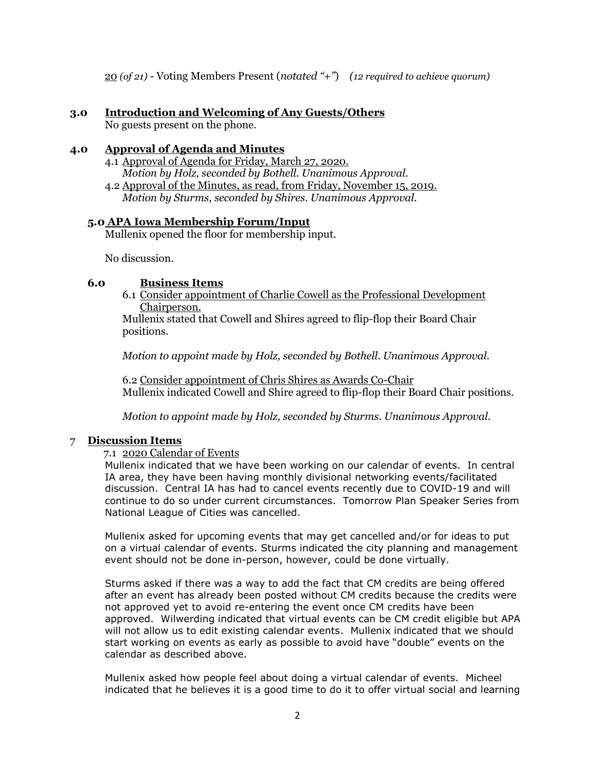20 *(of 21)* - Voting Members Present (*notated "+"*) *(12 required to achieve quorum)*

## **3.0 Introduction and Welcoming of Any Guests/Others**

No guests present on the phone.

### **4.0 Approval of Agenda and Minutes**

- 4.1 Approval of Agenda for Friday, March 27, 2020. *Motion by Holz, seconded by Bothell. Unanimous Approval.*
- 4.2 Approval of the Minutes, as read, from Friday, November 15, 2019. *Motion by Sturms, seconded by Shires. Unanimous Approval.*

## **5.0 APA Iowa Membership Forum/Input**

Mullenix opened the floor for membership input.

No discussion.

## **6.0 Business Items**

6.1 Consider appointment of Charlie Cowell as the Professional Development Chairperson.

Mullenix stated that Cowell and Shires agreed to flip-flop their Board Chair positions.

*Motion to appoint made by Holz, seconded by Bothell. Unanimous Approval.*

6.2 Consider appointment of Chris Shires as Awards Co-Chair Mullenix indicated Cowell and Shire agreed to flip-flop their Board Chair positions.

*Motion to appoint made by Holz, seconded by Sturms. Unanimous Approval.*

## 7 **Discussion Items**

#### 7.1 2020 Calendar of Events

Mullenix indicated that we have been working on our calendar of events. In central IA area, they have been having monthly divisional networking events/facilitated discussion. Central IA has had to cancel events recently due to COVID-19 and will continue to do so under current circumstances. Tomorrow Plan Speaker Series from National League of Cities was cancelled.

Mullenix asked for upcoming events that may get cancelled and/or for ideas to put on a virtual calendar of events. Sturms indicated the city planning and management event should not be done in-person, however, could be done virtually.

Sturms asked if there was a way to add the fact that CM credits are being offered after an event has already been posted without CM credits because the credits were not approved yet to avoid re-entering the event once CM credits have been approved. Wilwerding indicated that virtual events can be CM credit eligible but APA will not allow us to edit existing calendar events. Mullenix indicated that we should start working on events as early as possible to avoid have "double" events on the calendar as described above.

Mullenix asked how people feel about doing a virtual calendar of events. Micheel indicated that he believes it is a good time to do it to offer virtual social and learning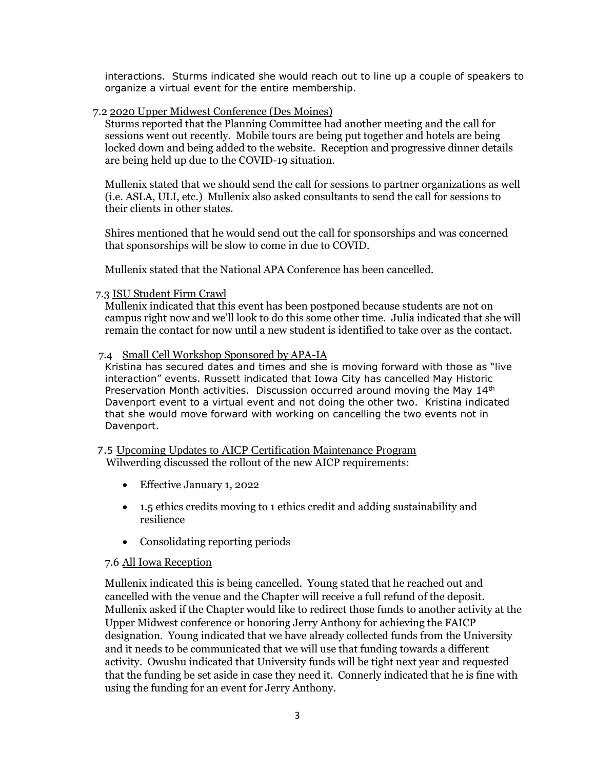interactions. Sturms indicated she would reach out to line up a couple of speakers to organize a virtual event for the entire membership.

### 7.2 2020 Upper Midwest Conference (Des Moines)

Sturms reported that the Planning Committee had another meeting and the call for sessions went out recently. Mobile tours are being put together and hotels are being locked down and being added to the website. Reception and progressive dinner details are being held up due to the COVID-19 situation.

Mullenix stated that we should send the call for sessions to partner organizations as well (i.e. ASLA, ULI, etc.) Mullenix also asked consultants to send the call for sessions to their clients in other states.

Shires mentioned that he would send out the call for sponsorships and was concerned that sponsorships will be slow to come in due to COVID.

Mullenix stated that the National APA Conference has been cancelled.

#### 7.3 ISU Student Firm Crawl

Mullenix indicated that this event has been postponed because students are not on campus right now and we'll look to do this some other time. Julia indicated that she will remain the contact for now until a new student is identified to take over as the contact.

#### 7.4 Small Cell Workshop Sponsored by APA-IA

Kristina has secured dates and times and she is moving forward with those as "live interaction" events. Russett indicated that Iowa City has cancelled May Historic Preservation Month activities. Discussion occurred around moving the May  $14<sup>th</sup>$ Davenport event to a virtual event and not doing the other two. Kristina indicated that she would move forward with working on cancelling the two events not in Davenport.

 7.5 Upcoming Updates to AICP Certification Maintenance Program Wilwerding discussed the rollout of the new AICP requirements:

- Effective January 1, 2022
- 1.5 ethics credits moving to 1 ethics credit and adding sustainability and resilience
- Consolidating reporting periods

#### 7.6 All Iowa Reception

Mullenix indicated this is being cancelled. Young stated that he reached out and cancelled with the venue and the Chapter will receive a full refund of the deposit. Mullenix asked if the Chapter would like to redirect those funds to another activity at the Upper Midwest conference or honoring Jerry Anthony for achieving the FAICP designation. Young indicated that we have already collected funds from the University and it needs to be communicated that we will use that funding towards a different activity. Owushu indicated that University funds will be tight next year and requested that the funding be set aside in case they need it. Connerly indicated that he is fine with using the funding for an event for Jerry Anthony.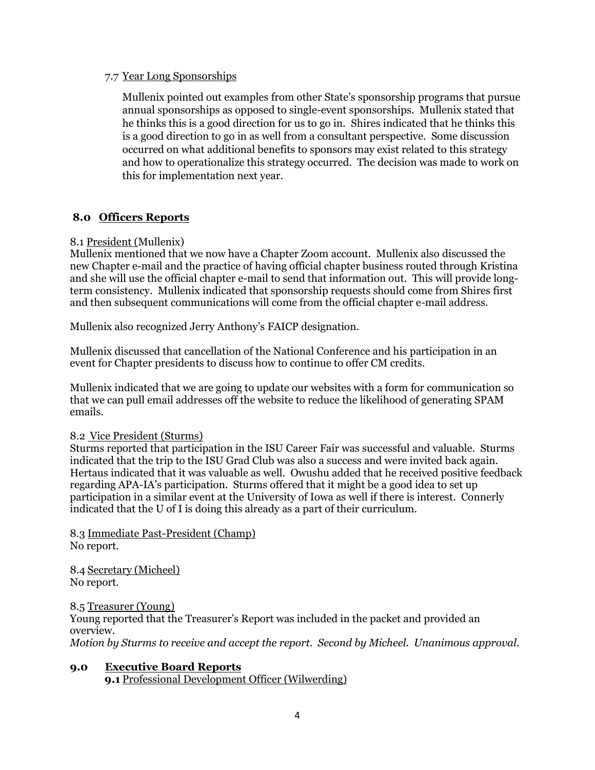#### 7.7 Year Long Sponsorships

Mullenix pointed out examples from other State's sponsorship programs that pursue annual sponsorships as opposed to single-event sponsorships. Mullenix stated that he thinks this is a good direction for us to go in. Shires indicated that he thinks this is a good direction to go in as well from a consultant perspective. Some discussion occurred on what additional benefits to sponsors may exist related to this strategy and how to operationalize this strategy occurred. The decision was made to work on this for implementation next year.

# **8.0 Officers Reports**

# 8.1 President (Mullenix)

Mullenix mentioned that we now have a Chapter Zoom account. Mullenix also discussed the new Chapter e-mail and the practice of having official chapter business routed through Kristina and she will use the official chapter e-mail to send that information out. This will provide longterm consistency. Mullenix indicated that sponsorship requests should come from Shires first and then subsequent communications will come from the official chapter e-mail address.

Mullenix also recognized Jerry Anthony's FAICP designation.

Mullenix discussed that cancellation of the National Conference and his participation in an event for Chapter presidents to discuss how to continue to offer CM credits.

Mullenix indicated that we are going to update our websites with a form for communication so that we can pull email addresses off the website to reduce the likelihood of generating SPAM emails.

## 8.2 Vice President (Sturms)

Sturms reported that participation in the ISU Career Fair was successful and valuable. Sturms indicated that the trip to the ISU Grad Club was also a success and were invited back again. Hertaus indicated that it was valuable as well. Owushu added that he received positive feedback regarding APA-IA's participation. Sturms offered that it might be a good idea to set up participation in a similar event at the University of Iowa as well if there is interest. Connerly indicated that the U of I is doing this already as a part of their curriculum.

8.3 Immediate Past-President (Champ) No report.

8.4 Secretary (Micheel) No report.

8.5 Treasurer (Young) Young reported that the Treasurer's Report was included in the packet and provided an overview.

*Motion by Sturms to receive and accept the report. Second by Micheel. Unanimous approval.*

## **9.0 Executive Board Reports 9.1** Professional Development Officer (Wilwerding)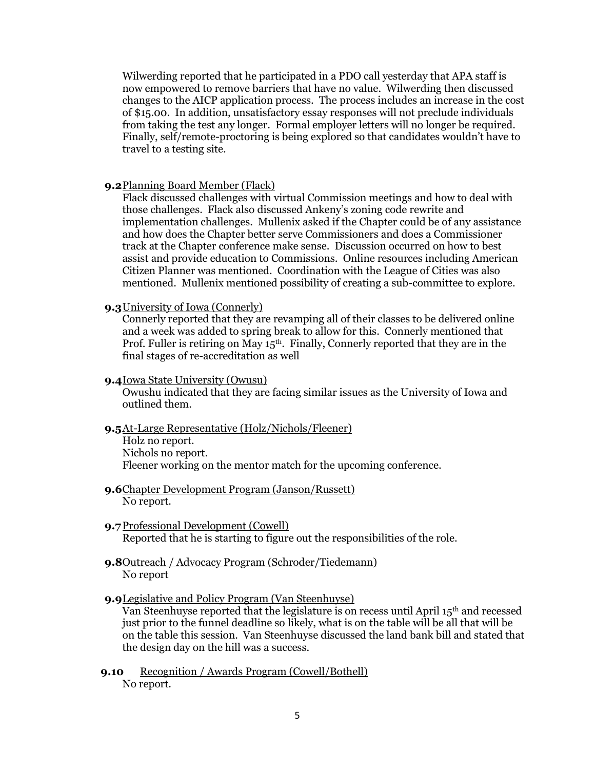Wilwerding reported that he participated in a PDO call yesterday that APA staff is now empowered to remove barriers that have no value. Wilwerding then discussed changes to the AICP application process. The process includes an increase in the cost of \$15.00. In addition, unsatisfactory essay responses will not preclude individuals from taking the test any longer. Formal employer letters will no longer be required. Finally, self/remote-proctoring is being explored so that candidates wouldn't have to travel to a testing site.

#### **9.2**Planning Board Member (Flack)

Flack discussed challenges with virtual Commission meetings and how to deal with those challenges. Flack also discussed Ankeny's zoning code rewrite and implementation challenges. Mullenix asked if the Chapter could be of any assistance and how does the Chapter better serve Commissioners and does a Commissioner track at the Chapter conference make sense. Discussion occurred on how to best assist and provide education to Commissions. Online resources including American Citizen Planner was mentioned. Coordination with the League of Cities was also mentioned. Mullenix mentioned possibility of creating a sub-committee to explore.

#### **9.3**University of Iowa (Connerly)

Connerly reported that they are revamping all of their classes to be delivered online and a week was added to spring break to allow for this. Connerly mentioned that Prof. Fuller is retiring on May  $15<sup>th</sup>$ . Finally, Connerly reported that they are in the final stages of re-accreditation as well

#### **9.4**Iowa State University (Owusu)

Owushu indicated that they are facing similar issues as the University of Iowa and outlined them.

#### **9.5**At-Large Representative (Holz/Nichols/Fleener)

Holz no report. Nichols no report. Fleener working on the mentor match for the upcoming conference.

- **9.6**Chapter Development Program (Janson/Russett) No report.
- **9.7**Professional Development (Cowell) Reported that he is starting to figure out the responsibilities of the role.
- **9.8**Outreach / Advocacy Program (Schroder/Tiedemann) No report
- **9.9**Legislative and Policy Program (Van Steenhuyse)

Van Steenhuyse reported that the legislature is on recess until April 15th and recessed just prior to the funnel deadline so likely, what is on the table will be all that will be on the table this session. Van Steenhuyse discussed the land bank bill and stated that the design day on the hill was a success.

**9.10** Recognition / Awards Program (Cowell/Bothell) No report.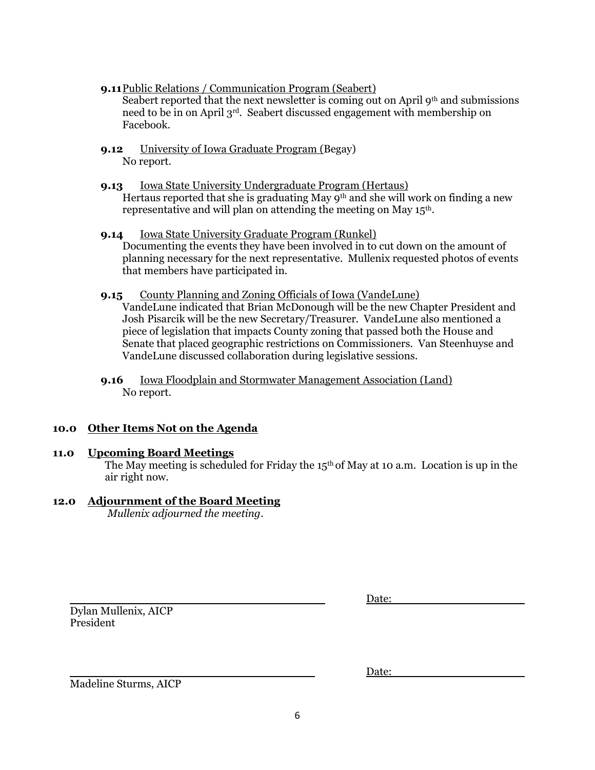- **9.11**Public Relations / Communication Program (Seabert) Seabert reported that the next newsletter is coming out on April  $9<sup>th</sup>$  and submissions need to be in on April 3rd. Seabert discussed engagement with membership on Facebook.
- **9.12** University of Iowa Graduate Program (Begay) No report.
- **9.13** Iowa State University Undergraduate Program (Hertaus) Hertaus reported that she is graduating May 9<sup>th</sup> and she will work on finding a new representative and will plan on attending the meeting on May 15th.
- **9.14** Iowa State University Graduate Program (Runkel) Documenting the events they have been involved in to cut down on the amount of planning necessary for the next representative. Mullenix requested photos of events that members have participated in.
- **9.15** County Planning and Zoning Officials of Iowa (VandeLune) VandeLune indicated that Brian McDonough will be the new Chapter President and Josh Pisarcik will be the new Secretary/Treasurer. VandeLune also mentioned a piece of legislation that impacts County zoning that passed both the House and Senate that placed geographic restrictions on Commissioners. Van Steenhuyse and VandeLune discussed collaboration during legislative sessions.
- **9.16** Iowa Floodplain and Stormwater Management Association (Land) No report.

# **10.0 Other Items Not on the Agenda**

## **11.0 Upcoming Board Meetings**

The May meeting is scheduled for Friday the  $15<sup>th</sup>$  of May at 10 a.m. Location is up in the air right now.

# **12.0 Adjournment of the Board Meeting**

*Mullenix adjourned the meeting*.

Dylan Mullenix, AICP President

| Date: |  |
|-------|--|
|       |  |

Date:

Madeline Sturms, AICP